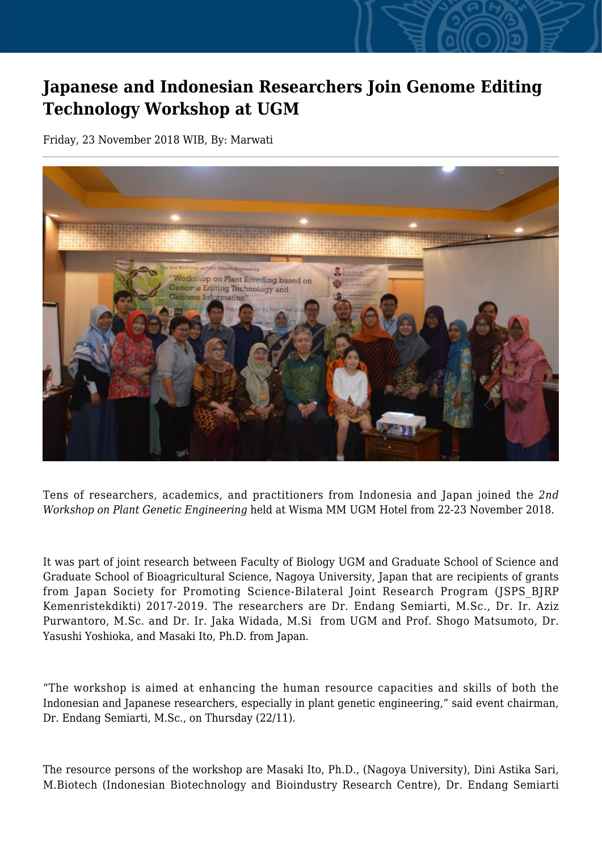## **Japanese and Indonesian Researchers Join Genome Editing Technology Workshop at UGM**

Friday, 23 November 2018 WIB, By: Marwati



Tens of researchers, academics, and practitioners from Indonesia and Japan joined the *2nd Workshop on Plant Genetic Engineering* held at Wisma MM UGM Hotel from 22-23 November 2018.

It was part of joint research between Faculty of Biology UGM and Graduate School of Science and Graduate School of Bioagricultural Science, Nagoya University, Japan that are recipients of grants from Japan Society for Promoting Science-Bilateral Joint Research Program (JSPS\_BJRP Kemenristekdikti) 2017-2019. The researchers are Dr. Endang Semiarti, M.Sc., Dr. Ir. Aziz Purwantoro, M.Sc. and Dr. Ir. Jaka Widada, M.Si from UGM and Prof. Shogo Matsumoto, Dr. Yasushi Yoshioka, and Masaki Ito, Ph.D. from Japan.

"The workshop is aimed at enhancing the human resource capacities and skills of both the Indonesian and Japanese researchers, especially in plant genetic engineering," said event chairman, Dr. Endang Semiarti, M.Sc., on Thursday (22/11).

The resource persons of the workshop are Masaki Ito, Ph.D., (Nagoya University), Dini Astika Sari, M.Biotech (Indonesian Biotechnology and Bioindustry Research Centre), Dr. Endang Semiarti